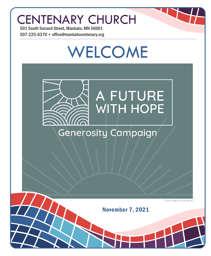## CENTENARY CHURCH

501 South Second Street, Mankato, MN 56001 507-225-6370 • office@mankatocentenary.org

# WELCOME



### **Generosity Campaign**

*Cover image by Kylie Beran*

November 7, 2021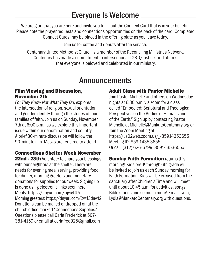### Everyone Is Welcome

We are glad that you are here and invite you to fill out the Connect Card that is in your bulletin. Please note the prayer requests and connections opportunities on the back of the card. Completed Connect Cards may be placed in the offering plate as you leave today.

Join us for coffee and donuts after the service.

Centenary United Methodist Church is a member of the Reconciling Ministries Network. Centenary has made a commitment to intersectional LGBTQ justice, and affirms that everyone is beloved and celebrated in our ministry.

### Announcements

#### Film Viewing and Discussion, November 7th

*For They Know Not What They Do*, explores the intersection of religion, sexual orientation, and gender identity through the stories of four families of faith. Join us on Sunday, November 7th at 6:00 p.m., as we explore this important issue within our denomination and country. A brief 30-minute discussion will follow the 90-minute film. Masks are required to attend.

### Connections Shelter Week November

22nd - 28th Volunteer to share your blessings with our neighbors at the shelter. There are needs for evening meal serving, providing food for dinner, morning greeters and monetary donations for supplies for our week. Signing up is done using electronic links seen here: Meals: https://tinyurl.com/5jyc447r Morning greeters: https://tinyurl.com/2w43dnwf2 Donations can be mailed or dropped off at the church office marked "Connections Supplies." Questions please call Carla Frederick at 507- 381-4159 or email at carlafred925@gmail.com

#### Adult Class with Pastor Michelle

Join Pastor Michelle and others on Wednesday nights at 6:30 p.m. via zoom for a class called "Embodied: Scriptural and Theological Perspectives on the Bodies of Humans and of the Earth." Sign up by contacting Pastor Michelle at Michelle@MankatoCentenary.org or Join the Zoom Meeting at https://us02web.zoom.us/j/85914353655 Meeting ID: 859 1435 3655 Or call: (312) 626-6799, 85914353655#

**Sunday Faith Formation returns this** morning! Kids pre-K through 6th grade will be invited to join us each Sunday morning for Faith Formation. Kids will be excused from the sanctuary after Children's Time and will meet until about 10:45 a.m. for activities, songs, Bible stories and so much more! Email Lydia, Lydia@MankatoCentenary.org with questions.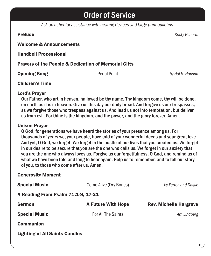### Order of Service

*Ask an usher for assistance with hearing devices and large print bulletins.*

Prelude *Kristy Gilberts*

#### Welcome & Announcements

Handbell Processional

#### Prayers of the People & Dedication of Memorial Gifts

**Opening Song** Pedal Point *by Hal H. Hopson* 

#### Children's Time

#### Lord's Prayer

Our Father, who art in heaven, hallowed be thy name. Thy kingdom come, thy will be done, on earth as it is in heaven. Give us this day our daily bread. And forgive us our trespasses, as we forgive those who trespass against us. And lead us not into temptation, but deliver us from evil. For thine is the kingdom, and the power, and the glory forever. Amen.

#### Unison Prayer

O God, for generations we have heard the stories of your presence among us. For thousands of years we, your people, have told of your wonderful deeds and your great love. And yet, O God, we forget. We forget in the bustle of our lives that you created us. We forget in our desire to be secure that you are the one who calls us. We forget in our anxiety that you are the one who always loves us. Forgive us our forgetfulness, O God, and remind us of what we have been told and long to hear again. Help us to remember, and to tell our story of you, to those who come after us. Amen.

#### Generosity Moment

| <b>Special Music</b>                  | Come Alive (Dry Bones)    | by Farren and Daigle          |  |
|---------------------------------------|---------------------------|-------------------------------|--|
| A Reading From Psalm 71:1-9, 17-21    |                           |                               |  |
| <b>Sermon</b>                         | <b>A Future With Hope</b> | <b>Rev. Michelle Hargrave</b> |  |
| <b>Special Music</b>                  | <b>For All The Saints</b> | Arr. Lindberg                 |  |
| <b>Communion</b>                      |                           |                               |  |
| <b>Lighting of All Saints Candles</b> |                           |                               |  |